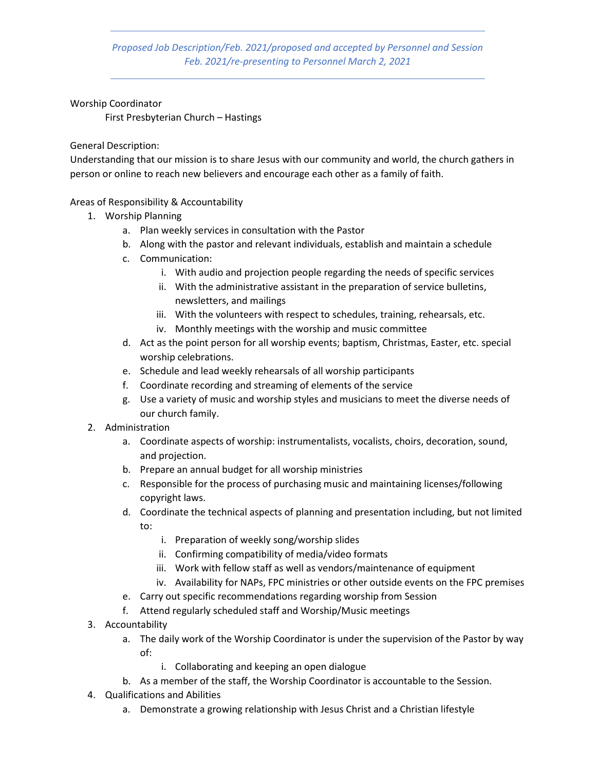Proposed Job Description/Feb. 2021/proposed and accepted by Personnel and Session Feb. 2021/re-presenting to Personnel March 2, 2021

Worship Coordinator

First Presbyterian Church – Hastings

General Description:

Understanding that our mission is to share Jesus with our community and world, the church gathers in person or online to reach new believers and encourage each other as a family of faith.

Areas of Responsibility & Accountability

- 1. Worship Planning
	- a. Plan weekly services in consultation with the Pastor
	- b. Along with the pastor and relevant individuals, establish and maintain a schedule
	- c. Communication:
		- i. With audio and projection people regarding the needs of specific services
		- ii. With the administrative assistant in the preparation of service bulletins, newsletters, and mailings
		- iii. With the volunteers with respect to schedules, training, rehearsals, etc.
		- iv. Monthly meetings with the worship and music committee
	- d. Act as the point person for all worship events; baptism, Christmas, Easter, etc. special worship celebrations.
	- e. Schedule and lead weekly rehearsals of all worship participants
	- f. Coordinate recording and streaming of elements of the service
	- g. Use a variety of music and worship styles and musicians to meet the diverse needs of our church family.
- 2. Administration
	- a. Coordinate aspects of worship: instrumentalists, vocalists, choirs, decoration, sound, and projection.
	- b. Prepare an annual budget for all worship ministries
	- c. Responsible for the process of purchasing music and maintaining licenses/following copyright laws.
	- d. Coordinate the technical aspects of planning and presentation including, but not limited to:
		- i. Preparation of weekly song/worship slides
		- ii. Confirming compatibility of media/video formats
		- iii. Work with fellow staff as well as vendors/maintenance of equipment
		- iv. Availability for NAPs, FPC ministries or other outside events on the FPC premises
	- e. Carry out specific recommendations regarding worship from Session
	- f. Attend regularly scheduled staff and Worship/Music meetings
- 3. Accountability
	- a. The daily work of the Worship Coordinator is under the supervision of the Pastor by way of:
		- i. Collaborating and keeping an open dialogue
	- b. As a member of the staff, the Worship Coordinator is accountable to the Session.
- 4. Qualifications and Abilities
	- a. Demonstrate a growing relationship with Jesus Christ and a Christian lifestyle